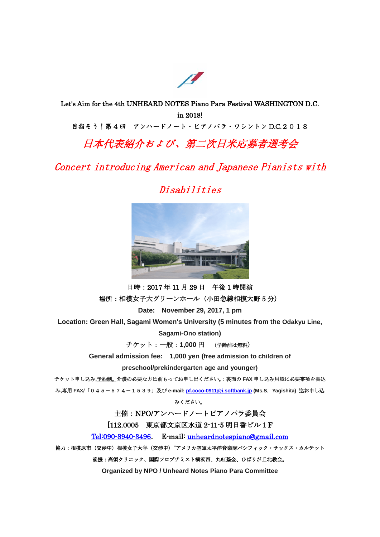

Let's Aim for the 4th UNHEARD NOTES Piano Para Festival WASHINGTON D.C. in 2018! 目指そう!第 4 回 アンハードノート・ピアノパラ・ワシントン D.C.2018

# 日本代表紹介および、第二次日米応募者選考会

Concert introducing American and Japanese Pianists with

## Disabilities



日時:2017 年 11 月 29 日 午後 1 時開演 場所:相模女子大グリーンホール(小田急線相模大野 5 分)

**Date: November 29, 2017, 1 pm**

**Location: Green Hall, Sagami Women's University (5 minutes from the Odakyu Line,**

**Sagami-Ono station)**

チケット:一般:**1,000** 円 (学齢前は無料)

**General admission fee: 1,000 yen (free admission to children of**

**preschool/prekindergarten age and younger)**

チケット申し込み**,**予約制。介護の必要な方は前もってお申し出ください。:裏面の **FAX** 申し込み用紙に必要事項を書込

み**,**専用 **FAX/**「045-574-1539」及び **e-mail[: pf.coco-0911@i.softbank.jp](mailto:pf.coco-0911@i.softbank.jp) (Ms.S**.**Yagishita)** 迄お申し込

みください。

主催:NPO/アンハードノートピアノパラ委員会

[112.0005 東京都文京区水道 2-11-5 明日香ビル1F

[Tel:090-8940-3496](tel:090-8940-3496). E-mail: [unheardnotespiano@gmail.com](mailto:unheardnotespiano@gmail.com)

協力:相模原市(交渉中)相模女子大学(交渉中)"アメリカ空軍太平洋音楽隊パシフィック・サックス・カルテット

後援:高須クリニック、国際ソロプチミスト横浜西、丸紅基金、ひばりが丘北教会。

**Organized by NPO / Unheard Notes Piano Para Committee**